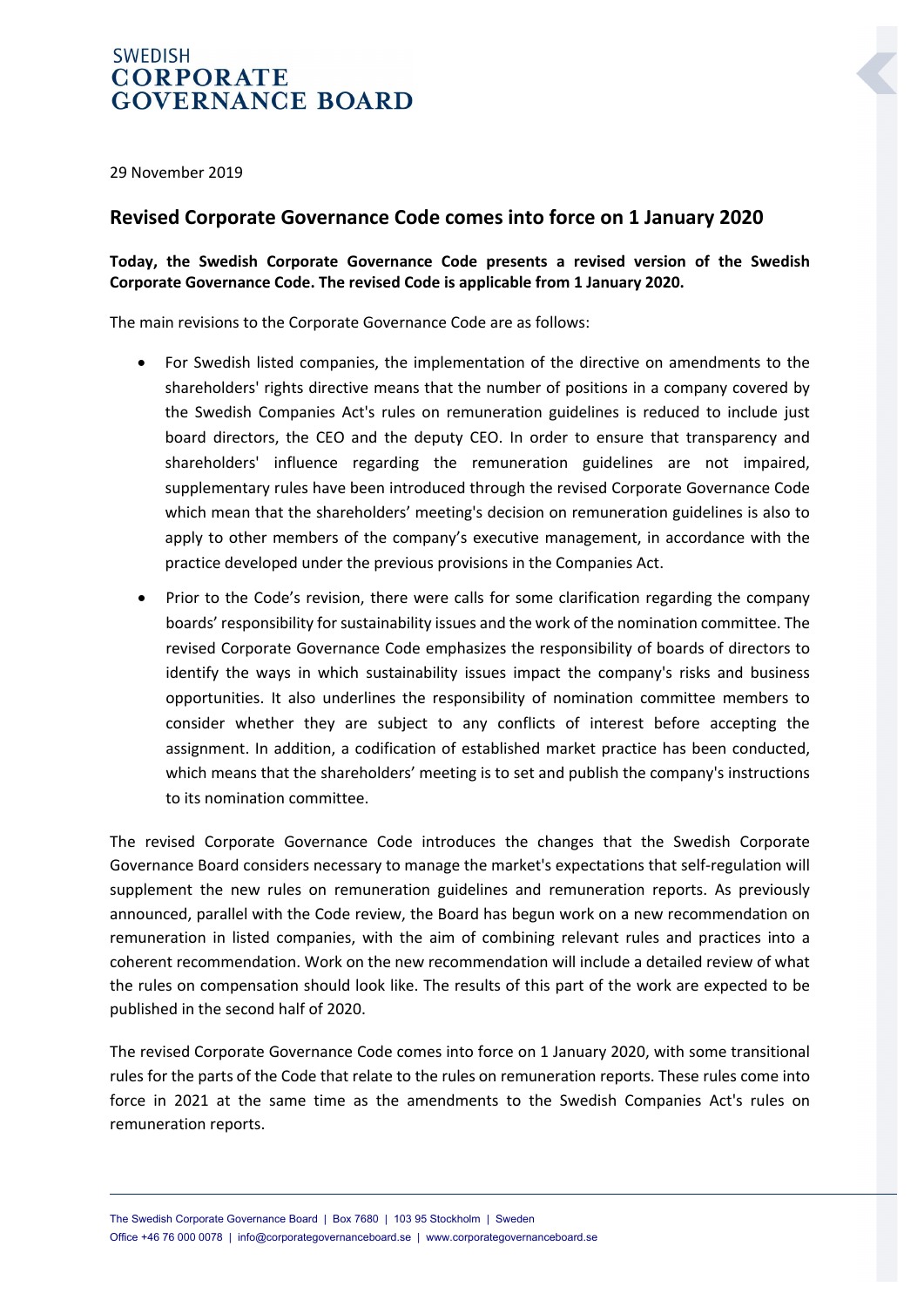## **SWEDISH CORPORATE GOVERNANCE BOARD**

29 November 2019

## **Revised Corporate Governance Code comes into force on 1 January 2020**

## **Today, the Swedish Corporate Governance Code presents a revised version of the Swedish Corporate Governance Code. The revised Code is applicable from 1 January 2020.**

The main revisions to the Corporate Governance Code are as follows:

- For Swedish listed companies, the implementation of the directive on amendments to the shareholders' rights directive means that the number of positions in a company covered by the Swedish Companies Act's rules on remuneration guidelines is reduced to include just board directors, the CEO and the deputy CEO. In order to ensure that transparency and shareholders' influence regarding the remuneration guidelines are not impaired, supplementary rules have been introduced through the revised Corporate Governance Code which mean that the shareholders' meeting's decision on remuneration guidelines is also to apply to other members of the company's executive management, in accordance with the practice developed under the previous provisions in the Companies Act.
- Prior to the Code's revision, there were calls for some clarification regarding the company boards' responsibility for sustainability issues and the work of the nomination committee. The revised Corporate Governance Code emphasizes the responsibility of boards of directors to identify the ways in which sustainability issues impact the company's risks and business opportunities. It also underlines the responsibility of nomination committee members to consider whether they are subject to any conflicts of interest before accepting the assignment. In addition, a codification of established market practice has been conducted, which means that the shareholders' meeting is to set and publish the company's instructions to its nomination committee.

The revised Corporate Governance Code introduces the changes that the Swedish Corporate Governance Board considers necessary to manage the market's expectations that self-regulation will supplement the new rules on remuneration guidelines and remuneration reports. As previously announced, parallel with the Code review, the Board has begun work on a new recommendation on remuneration in listed companies, with the aim of combining relevant rules and practices into a coherent recommendation. Work on the new recommendation will include a detailed review of what the rules on compensation should look like. The results of this part of the work are expected to be published in the second half of 2020.

The revised Corporate Governance Code comes into force on 1 January 2020, with some transitional rules for the parts of the Code that relate to the rules on remuneration reports. These rules come into force in 2021 at the same time as the amendments to the Swedish Companies Act's rules on remuneration reports.